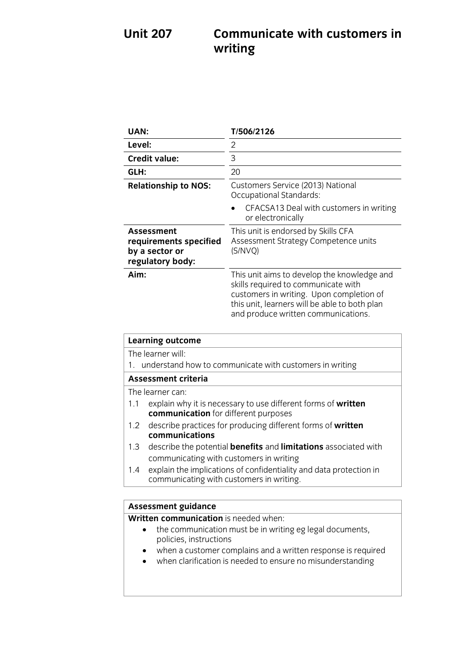# **Unit 207 Communicate with customers in writing**

| UAN:                                                                                                                                                                                                   | T/506/2126                                                                                                                                                                                                             |
|--------------------------------------------------------------------------------------------------------------------------------------------------------------------------------------------------------|------------------------------------------------------------------------------------------------------------------------------------------------------------------------------------------------------------------------|
| Level:                                                                                                                                                                                                 | 2                                                                                                                                                                                                                      |
| <b>Credit value:</b>                                                                                                                                                                                   | 3                                                                                                                                                                                                                      |
| GLH:                                                                                                                                                                                                   | 20                                                                                                                                                                                                                     |
| <b>Relationship to NOS:</b>                                                                                                                                                                            | Customers Service (2013) National<br><b>Occupational Standards:</b><br>CFACSA13 Deal with customers in writing<br>or electronically                                                                                    |
| <b>Assessment</b><br>requirements specified<br>by a sector or<br>regulatory body:                                                                                                                      | This unit is endorsed by Skills CFA<br>Assessment Strategy Competence units<br>(S/NVQ)                                                                                                                                 |
| Aim:                                                                                                                                                                                                   | This unit aims to develop the knowledge and<br>skills required to communicate with<br>customers in writing. Upon completion of<br>this unit, learners will be able to both plan<br>and produce written communications. |
| <b>Learning outcome</b>                                                                                                                                                                                |                                                                                                                                                                                                                        |
| The learner will:<br>understand how to communicate with customers in writing<br>1.                                                                                                                     |                                                                                                                                                                                                                        |
| <b>Assessment criteria</b>                                                                                                                                                                             |                                                                                                                                                                                                                        |
| The learner can:<br>explain why it is necessary to use different forms of written<br>1.1<br>communication for different purposes<br>describe practices for producing different forms of written<br>1.2 |                                                                                                                                                                                                                        |
| communications                                                                                                                                                                                         |                                                                                                                                                                                                                        |
| 1.3<br>describe the potential <b>benefits</b> and <b>limitations</b> associated with<br>communicating with customers in writing                                                                        |                                                                                                                                                                                                                        |
| explain the implications of confidentiality and data protection in<br>1.4<br>communicating with customers in writing.                                                                                  |                                                                                                                                                                                                                        |
|                                                                                                                                                                                                        |                                                                                                                                                                                                                        |
| <b>Assessment guidance</b>                                                                                                                                                                             |                                                                                                                                                                                                                        |
| Written communication is needed when:<br>the communication must be in writing eg legal documents,<br>policies, instructions<br>when a customer complains and a written response is required            |                                                                                                                                                                                                                        |
| whop clarification is nooded to ensure no misunderstanding                                                                                                                                             |                                                                                                                                                                                                                        |

when clarification is needed to ensure no misunderstanding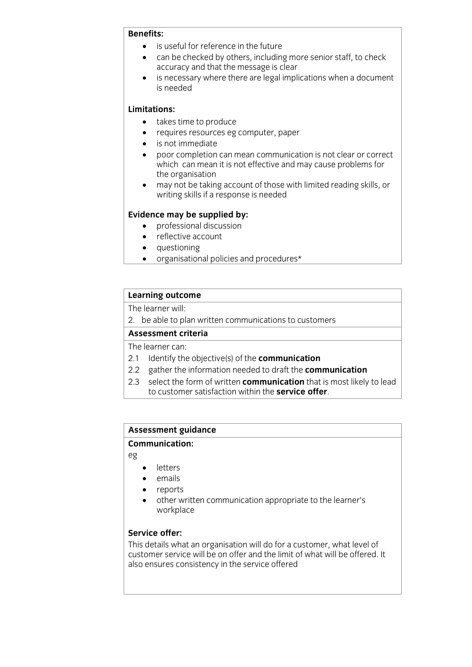### **Benefits:**

- **BENEFITE:**<br> **BENEFITE:**<br> **BENEFITE:**<br> **BENEFITE:**<br> **BENEFITE:**<br> **BENEFITE:**<br> **BENEFITE:** 
	- can be checked by others, including more senior staff, to check<br>accuracy and that the message is clear
	- is necessary where there are legal implications when a document<br>is needed is needed

- **Limitation**<br> **EXECUTE: COLLIGE PROLLIGES AND** 
	- requires resources eg computer, paper
	- is not immediate
	- poor completion can mean communication is not clear or correct which can mean it is not effective and may cause problems for the organisation
	- $\bullet$  may not be taking account of those with limited reading skills, or writing skills if a response is needed writing skills if a response is needed

- **Existence may** be supplied by:<br> **e** professional discussion
	- reflective account
	- questioning
	- organisational policies and procedures\*

# **Learning outcome**<br>The learner will:

2. be able to plan written communications to customers

## Assessment criteria

## The learner can:

- 2.1 Identify the objective(s) of the **communication**
- 2.2 gather the information needed to draft the **communication**
- 2.3 select the form of written **communication** that is most likely to lead to customer satisfaction within the **service offer**. to customer satisfaction within the **service offer**.

# **Assessment guidance**

## **Communication:**

eg

- **e** letters
- emails
- reports
- other written communication appropriate to the learner's workplace

**Service offer:**<br>This details what an organisation will do for a customer, what level of customer service will be on offer and the limit of what will be offered. It also ensures consistency in the service offered. also ensures consistency in the service of  $\mathcal{L}_{\mathcal{A}}$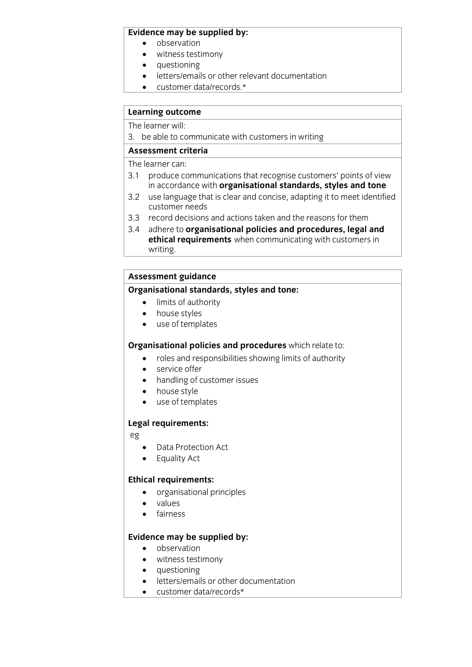- **Evidence** may be supplied by:
	- witness testimony
	- questioning
	- letters/emails or other relevant documentation
	- customer data/records.\*

# **Learning outcome**<br>The learner will:

3. be able to communicate with customers in writing

## Assessment criteria

The learner can:

- 3.1 produce communications that recognise customers' points of view in accordance with organisational standards, styles and tone
- use language that is clear and concise, adapting it to meet identified  $32$ customer needs
- 3.3 record decisions and actions taken and the reasons for them
- 3.4 adhere to organisational policies and procedures, legal and **athical requirements** when communicating with customers in **ethical requirements** when communicating with customers in  $rac{1}{\sqrt{2}}$

# Assessment guidance<br>Organisational standards, styles and tone:

- **Criminal standards, styles and tone:**<br>
limits of authority<br>
house styles
	- house styles
	- use of templates

- **Crime and procedures which relate to:**<br>
roles and responsibilities showing limits of authority<br>
service offer
	- service offer
	- handling of customer issues
	- house style
	- use of templates

## **Legal requirements:**

eg

- Data Protection Act
- Equality Act

- **Ethical requirements:**<br> **•** organisational principles
	- values
	- fairness

- **Evidence** may be supplied by:
	- witness testimony
	- questioning
	- $\bullet$  letters/emails or other documentation<br>  $\bullet$  customer data/records\*
	- customer data/records\*